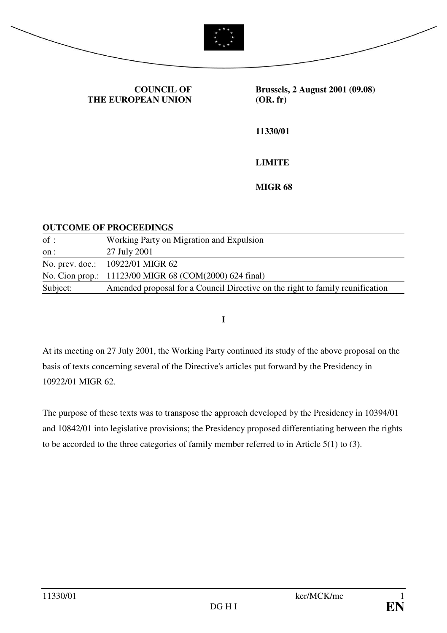



**COUNCIL OF THE EUROPEAN UNION** **Brussels, 2 August 2001 (09.08) (OR. fr)** 

**11330/01** 

**LIMITE** 

**MIGR 68** 

#### **OUTCOME OF PROCEEDINGS**

| of:      | Working Party on Migration and Expulsion                                      |
|----------|-------------------------------------------------------------------------------|
| on :     | 27 July 2001                                                                  |
|          | No. prev. doc.: 10922/01 MIGR 62                                              |
|          | No. Cion prop.: 11123/00 MIGR 68 (COM(2000) 624 final)                        |
| Subject: | Amended proposal for a Council Directive on the right to family reunification |

**I** 

At its meeting on 27 July 2001, the Working Party continued its study of the above proposal on the basis of texts concerning several of the Directive's articles put forward by the Presidency in 10922/01 MIGR 62.

The purpose of these texts was to transpose the approach developed by the Presidency in 10394/01 and 10842/01 into legislative provisions; the Presidency proposed differentiating between the rights to be accorded to the three categories of family member referred to in Article 5(1) to (3).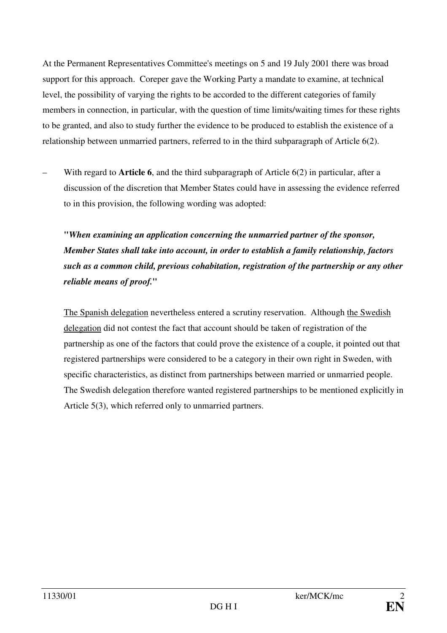At the Permanent Representatives Committee's meetings on 5 and 19 July 2001 there was broad support for this approach. Coreper gave the Working Party a mandate to examine, at technical level, the possibility of varying the rights to be accorded to the different categories of family members in connection, in particular, with the question of time limits/waiting times for these rights to be granted, and also to study further the evidence to be produced to establish the existence of a relationship between unmarried partners, referred to in the third subparagraph of Article 6(2).

– With regard to **Article 6**, and the third subparagraph of Article 6(2) in particular, after a discussion of the discretion that Member States could have in assessing the evidence referred to in this provision, the following wording was adopted:

**"***When examining an application concerning the unmarried partner of the sponsor, Member States shall take into account, in order to establish a family relationship, factors such as a common child, previous cohabitation, registration of the partnership or any other reliable means of proof.***"** 

The Spanish delegation nevertheless entered a scrutiny reservation. Although the Swedish delegation did not contest the fact that account should be taken of registration of the partnership as one of the factors that could prove the existence of a couple, it pointed out that registered partnerships were considered to be a category in their own right in Sweden, with specific characteristics, as distinct from partnerships between married or unmarried people. The Swedish delegation therefore wanted registered partnerships to be mentioned explicitly in Article 5(3), which referred only to unmarried partners.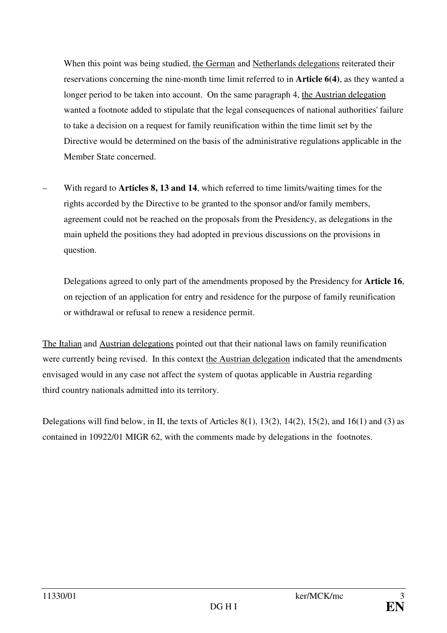When this point was being studied, the German and Netherlands delegations reiterated their reservations concerning the nine-month time limit referred to in **Article 6(4)**, as they wanted a longer period to be taken into account. On the same paragraph 4, the Austrian delegation wanted a footnote added to stipulate that the legal consequences of national authorities' failure to take a decision on a request for family reunification within the time limit set by the Directive would be determined on the basis of the administrative regulations applicable in the Member State concerned.

– With regard to **Articles 8, 13 and 14**, which referred to time limits/waiting times for the rights accorded by the Directive to be granted to the sponsor and/or family members, agreement could not be reached on the proposals from the Presidency, as delegations in the main upheld the positions they had adopted in previous discussions on the provisions in question.

Delegations agreed to only part of the amendments proposed by the Presidency for **Article 16**, on rejection of an application for entry and residence for the purpose of family reunification or withdrawal or refusal to renew a residence permit.

The Italian and Austrian delegations pointed out that their national laws on family reunification were currently being revised. In this context the Austrian delegation indicated that the amendments envisaged would in any case not affect the system of quotas applicable in Austria regarding third country nationals admitted into its territory.

Delegations will find below, in II, the texts of Articles 8(1), 13(2), 14(2), 15(2), and 16(1) and (3) as contained in 10922/01 MIGR 62, with the comments made by delegations in the footnotes.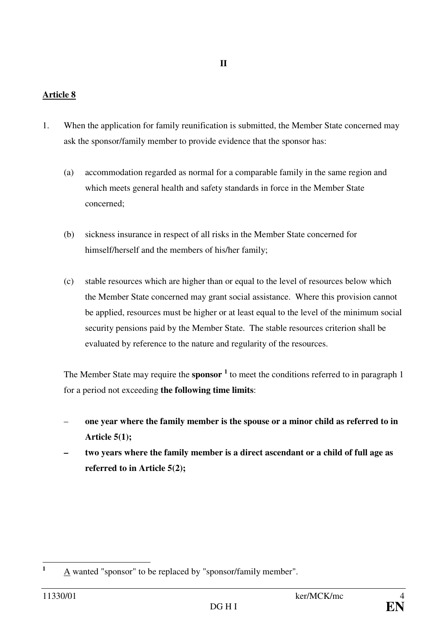1. When the application for family reunification is submitted, the Member State concerned may ask the sponsor/family member to provide evidence that the sponsor has:

**II** 

- (a) accommodation regarded as normal for a comparable family in the same region and which meets general health and safety standards in force in the Member State concerned;
- (b) sickness insurance in respect of all risks in the Member State concerned for himself/herself and the members of his/her family;
- (c) stable resources which are higher than or equal to the level of resources below which the Member State concerned may grant social assistance. Where this provision cannot be applied, resources must be higher or at least equal to the level of the minimum social security pensions paid by the Member State. The stable resources criterion shall be evaluated by reference to the nature and regularity of the resources.

The Member State may require the **sponsor <sup>1</sup>** to meet the conditions referred to in paragraph 1 for a period not exceeding **the following time limits**:

- **one year where the family member is the spouse or a minor child as referred to in Article 5(1);**
- **two years where the family member is a direct ascendant or a child of full age as referred to in Article 5(2);**

 **1** A wanted "sponsor" to be replaced by "sponsor/family member".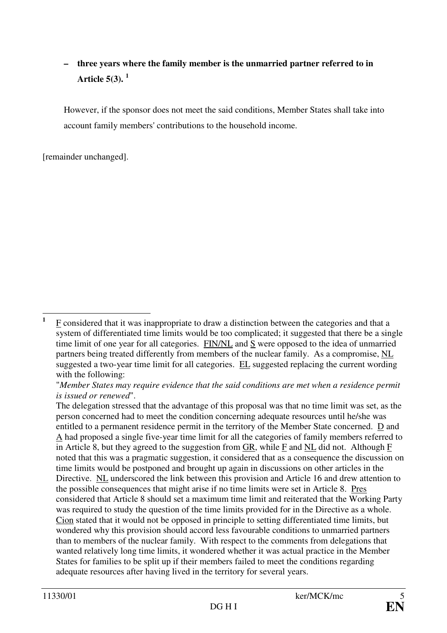# **– three years where the family member is the unmarried partner referred to in Article 5(3). <sup>1</sup>**

However, if the sponsor does not meet the said conditions, Member States shall take into account family members' contributions to the household income.

[remainder unchanged].

 **1** F considered that it was inappropriate to draw a distinction between the categories and that a system of differentiated time limits would be too complicated; it suggested that there be a single time limit of one year for all categories. FIN/NL and S were opposed to the idea of unmarried partners being treated differently from members of the nuclear family. As a compromise, NL suggested a two-year time limit for all categories. EL suggested replacing the current wording with the following:

<sup>&</sup>quot;*Member States may require evidence that the said conditions are met when a residence permit is issued or renewed*".

The delegation stressed that the advantage of this proposal was that no time limit was set, as the person concerned had to meet the condition concerning adequate resources until he/she was entitled to a permanent residence permit in the territory of the Member State concerned. D and A had proposed a single five-year time limit for all the categories of family members referred to in Article 8, but they agreed to the suggestion from  $\overline{GR}$ , while  $\overline{F}$  and  $\overline{NL}$  did not. Although  $\overline{F}$ noted that this was a pragmatic suggestion, it considered that as a consequence the discussion on time limits would be postponed and brought up again in discussions on other articles in the Directive. NL underscored the link between this provision and Article 16 and drew attention to the possible consequences that might arise if no time limits were set in Article 8. Pres considered that Article 8 should set a maximum time limit and reiterated that the Working Party was required to study the question of the time limits provided for in the Directive as a whole. Cion stated that it would not be opposed in principle to setting differentiated time limits, but wondered why this provision should accord less favourable conditions to unmarried partners than to members of the nuclear family. With respect to the comments from delegations that wanted relatively long time limits, it wondered whether it was actual practice in the Member States for families to be split up if their members failed to meet the conditions regarding adequate resources after having lived in the territory for several years.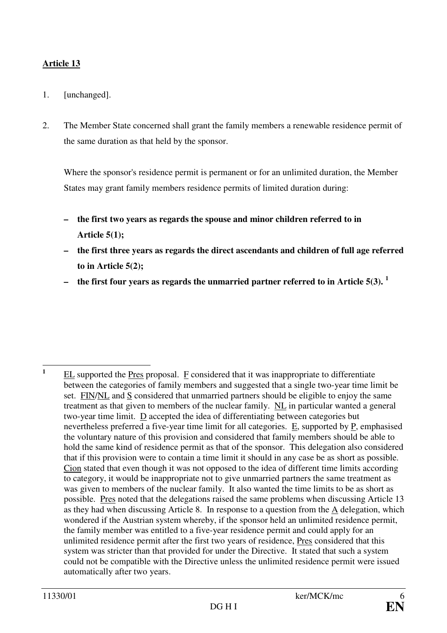- 1. [unchanged].
- 2. The Member State concerned shall grant the family members a renewable residence permit of the same duration as that held by the sponsor.

Where the sponsor's residence permit is permanent or for an unlimited duration, the Member States may grant family members residence permits of limited duration during:

- **the first two years as regards the spouse and minor children referred to in Article 5(1);**
- **the first three years as regards the direct ascendants and children of full age referred to in Article 5(2);**
- **the first four years as regards the unmarried partner referred to in Article 5(3). <sup>1</sup>**

 **1** EL supported the Pres proposal. F considered that it was inappropriate to differentiate between the categories of family members and suggested that a single two-year time limit be set. FIN/NL and S considered that unmarried partners should be eligible to enjoy the same treatment as that given to members of the nuclear family. NL in particular wanted a general two-year time limit. D accepted the idea of differentiating between categories but nevertheless preferred a five-year time limit for all categories.  $E$ , supported by  $P$ , emphasised the voluntary nature of this provision and considered that family members should be able to hold the same kind of residence permit as that of the sponsor. This delegation also considered that if this provision were to contain a time limit it should in any case be as short as possible. Cion stated that even though it was not opposed to the idea of different time limits according to category, it would be inappropriate not to give unmarried partners the same treatment as was given to members of the nuclear family. It also wanted the time limits to be as short as possible. Pres noted that the delegations raised the same problems when discussing Article 13 as they had when discussing Article 8. In response to a question from the A delegation, which wondered if the Austrian system whereby, if the sponsor held an unlimited residence permit, the family member was entitled to a five-year residence permit and could apply for an unlimited residence permit after the first two years of residence, Pres considered that this system was stricter than that provided for under the Directive. It stated that such a system could not be compatible with the Directive unless the unlimited residence permit were issued automatically after two years.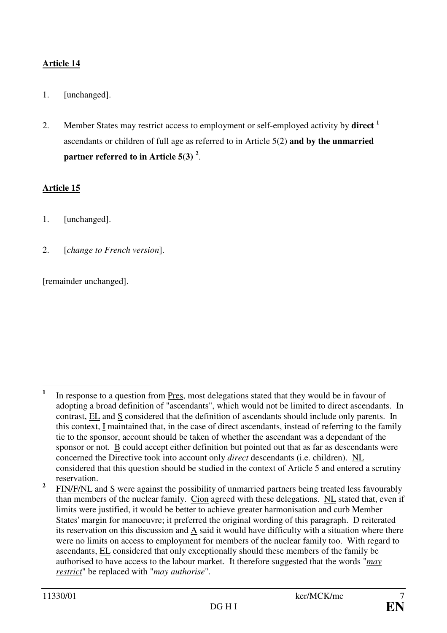- 1. [unchanged].
- 2. Member States may restrict access to employment or self-employed activity by **direct <sup>1</sup>** ascendants or children of full age as referred to in Article 5(2) **and by the unmarried partner referred to in Article 5(3) <sup>2</sup>** .

# **Article 15**

- 1. [unchanged].
- 2. [*change to French version*].

[remainder unchanged].

**2** FIN/F/NL and S were against the possibility of unmarried partners being treated less favourably than members of the nuclear family. Cion agreed with these delegations. NL stated that, even if limits were justified, it would be better to achieve greater harmonisation and curb Member States' margin for manoeuvre; it preferred the original wording of this paragraph. D reiterated its reservation on this discussion and A said it would have difficulty with a situation where there were no limits on access to employment for members of the nuclear family too. With regard to ascendants, EL considered that only exceptionally should these members of the family be authorised to have access to the labour market. It therefore suggested that the words "*may restrict*" be replaced with "*may authorise*".

 **1** In response to a question from Pres, most delegations stated that they would be in favour of adopting a broad definition of "ascendants", which would not be limited to direct ascendants. In contrast, EL and S considered that the definition of ascendants should include only parents. In this context, I maintained that, in the case of direct ascendants, instead of referring to the family tie to the sponsor, account should be taken of whether the ascendant was a dependant of the sponsor or not. B could accept either definition but pointed out that as far as descendants were concerned the Directive took into account only *direct* descendants (i.e. children). NL considered that this question should be studied in the context of Article 5 and entered a scrutiny reservation.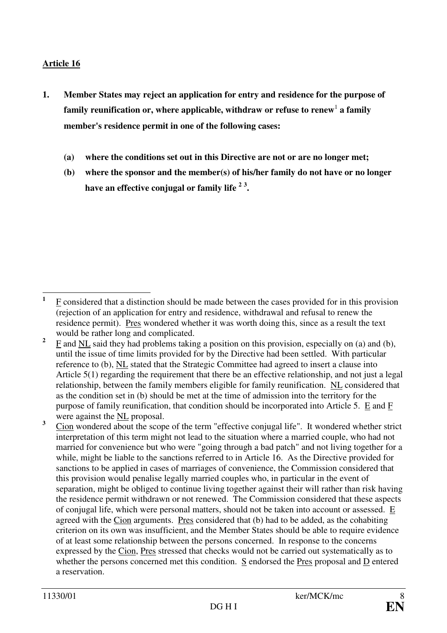- **1. Member States may reject an application for entry and residence for the purpose of**  family reunification or, where applicable, withdraw or refuse to renew<sup>1</sup> a family **member's residence permit in one of the following cases:** 
	- **(a) where the conditions set out in this Directive are not or are no longer met;**
	- **(b) where the sponsor and the member(s) of his/her family do not have or no longer have an effective conjugal or family life <sup>2</sup> <sup>3</sup> .**

 **1** F considered that a distinction should be made between the cases provided for in this provision (rejection of an application for entry and residence, withdrawal and refusal to renew the residence permit). Pres wondered whether it was worth doing this, since as a result the text would be rather long and complicated.

**<sup>2</sup>** F and NL said they had problems taking a position on this provision, especially on (a) and (b), until the issue of time limits provided for by the Directive had been settled. With particular reference to (b), NL stated that the Strategic Committee had agreed to insert a clause into Article 5(1) regarding the requirement that there be an effective relationship, and not just a legal relationship, between the family members eligible for family reunification. NL considered that as the condition set in (b) should be met at the time of admission into the territory for the purpose of family reunification, that condition should be incorporated into Article 5. E and F were against the NL proposal.

**<sup>3</sup>** Cion wondered about the scope of the term "effective conjugal life". It wondered whether strict interpretation of this term might not lead to the situation where a married couple, who had not married for convenience but who were "going through a bad patch" and not living together for a while, might be liable to the sanctions referred to in Article 16. As the Directive provided for sanctions to be applied in cases of marriages of convenience, the Commission considered that this provision would penalise legally married couples who, in particular in the event of separation, might be obliged to continue living together against their will rather than risk having the residence permit withdrawn or not renewed. The Commission considered that these aspects of conjugal life, which were personal matters, should not be taken into account or assessed. E agreed with the Cion arguments. Pres considered that (b) had to be added, as the cohabiting criterion on its own was insufficient, and the Member States should be able to require evidence of at least some relationship between the persons concerned. In response to the concerns expressed by the Cion, Pres stressed that checks would not be carried out systematically as to whether the persons concerned met this condition. S endorsed the Pres proposal and D entered a reservation.